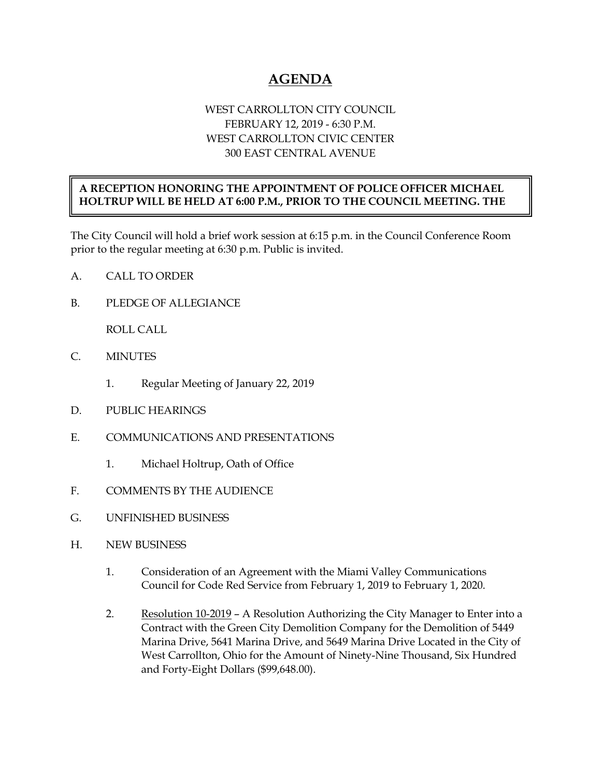## **AGENDA**

## WEST CARROLLTON CITY COUNCIL FEBRUARY 12, 2019 - 6:30 P.M. WEST CARROLLTON CIVIC CENTER 300 EAST CENTRAL AVENUE

## **A RECEPTION HONORING THE APPOINTMENT OF POLICE OFFICER MICHAEL HOLTRUP WILL BE HELD AT 6:00 P.M., PRIOR TO THE COUNCIL MEETING. THE**

The City Council will hold a brief work session at 6:15 p.m. in the Council Conference Room prior to the regular meeting at 6:30 p.m. Public is invited.

A. CALL TO ORDER

B. PLEDGE OF ALLEGIANCE

ROLL CALL

- C. MINUTES
	- 1. Regular Meeting of January 22, 2019
- D. PUBLIC HEARINGS
- E. COMMUNICATIONS AND PRESENTATIONS
	- 1. Michael Holtrup, Oath of Office
- F. COMMENTS BY THE AUDIENCE
- G. UNFINISHED BUSINESS
- H. NEW BUSINESS
	- 1. Consideration of an Agreement with the Miami Valley Communications Council for Code Red Service from February 1, 2019 to February 1, 2020.
	- 2. Resolution 10-2019 A Resolution Authorizing the City Manager to Enter into a Contract with the Green City Demolition Company for the Demolition of 5449 Marina Drive, 5641 Marina Drive, and 5649 Marina Drive Located in the City of West Carrollton, Ohio for the Amount of Ninety-Nine Thousand, Six Hundred and Forty-Eight Dollars (\$99,648.00).